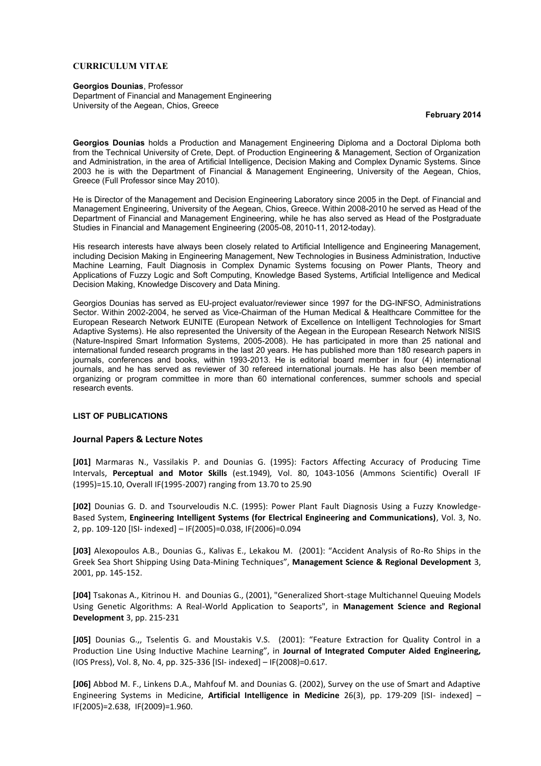#### **CURRICULUM VITAE**

#### **Georgios Dounias**, Professor

Department of Financial and Management Engineering University of the Aegean, Chios, Greece

#### **February 2014**

**Georgios Dounias** holds a Production and Management Engineering Diploma and a Doctoral Diploma both from the Technical University of Crete, Dept. of Production Engineering & Management, Section of Organization and Administration, in the area of Artificial Intelligence, Decision Making and Complex Dynamic Systems. Since 2003 he is with the Department of Financial & Management Engineering, University of the Aegean, Chios, Greece (Full Professor since May 2010).

He is Director of the Management and Decision Engineering Laboratory since 2005 in the Dept. of Financial and Management Engineering, University of the Aegean, Chios, Greece. Within 2008-2010 he served as Head of the Department of Financial and Management Engineering, while he has also served as Head of the Postgraduate Studies in Financial and Management Engineering (2005-08, 2010-11, 2012-today).

His research interests have always been closely related to Artificial Intelligence and Engineering Management, including Decision Making in Engineering Management, New Technologies in Business Administration, Inductive Machine Learning, Fault Diagnosis in Complex Dynamic Systems focusing on Power Plants, Theory and Applications of Fuzzy Logic and Soft Computing, Knowledge Based Systems, Artificial Intelligence and Medical Decision Making, Knowledge Discovery and Data Mining.

Georgios Dounias has served as EU-project evaluator/reviewer since 1997 for the DG-INFSO, Administrations Sector. Within 2002-2004, he served as Vice-Chairman of the Human Medical & Healthcare Committee for the European Research Network EUNITE (European Network of Excellence on Intelligent Technologies for Smart Adaptive Systems). He also represented the University of the Aegean in the European Research Network NISIS (Nature-Inspired Smart Information Systems, 2005-2008). He has participated in more than 25 national and international funded research programs in the last 20 years. He has published more than 180 research papers in journals, conferences and books, within 1993-2013. He is editorial board member in four (4) international journals, and he has served as reviewer of 30 refereed international journals. He has also been member of organizing or program committee in more than 60 international conferences, summer schools and special research events.

#### **LIST OF PUBLICATIONS**

### **Journal Papers & Lecture Notes**

**[J01]** Marmaras N., Vassilakis P. and Dounias G. (1995): Factors Affecting Accuracy of Producing Time Intervals, **Perceptual and Motor Skills** (est.1949)*,* Vol. 80, 1043-1056 (Ammons Scientific) Overall IF (1995)=15.10, Overall IF(1995-2007) ranging from 13.70 to 25.90

**[J02]** Dounias G. D. and Tsourveloudis N.C. (1995): Power Plant Fault Diagnosis Using a Fuzzy Knowledge-Based System, **Engineering Intelligent Systems (for Electrical Engineering and Communications)**, Vol. 3, No. 2, pp. 109-120 [ISI- indexed] – IF(2005)=0.038, IF(2006)=0.094

**[J03]** Alexopoulos A.B., Dounias G., Kalivas E., Lekakou M. (2001): "Accident Analysis of Ro-Ro Ships in the Greek Sea Short Shipping Using Data-Mining Techniques", **Management Science & Regional Development** 3, 2001, pp. 145-152.

**[J04]** Tsakonas A., Kitrinou H. and Dounias G., (2001), "Generalized Short-stage Multichannel Queuing Models Using Genetic Algorithms: A Real-World Application to Seaports", in **Management Science and Regional Development** 3, pp. 215-231

**[J05]** Dounias G.,, Tselentis G. and Moustakis V.S. (2001): "Feature Extraction for Quality Control in a Production Line Using Inductive Machine Learning", in **Journal of Integrated Computer Aided Engineering***,* (IOS Press), Vol. 8, No. 4, pp. 325-336 [ISI- indexed] – IF(2008)=0.617.

**[J06]** Abbod M. F., Linkens D.A., Mahfouf M. and Dounias G. (2002), Survey on the use of Smart and Adaptive Engineering Systems in Medicine, **Artificial Intelligence in Medicine** 26(3), pp. 179-209 [ISI- indexed] – IF(2005)=2.638, IF(2009)=1.960.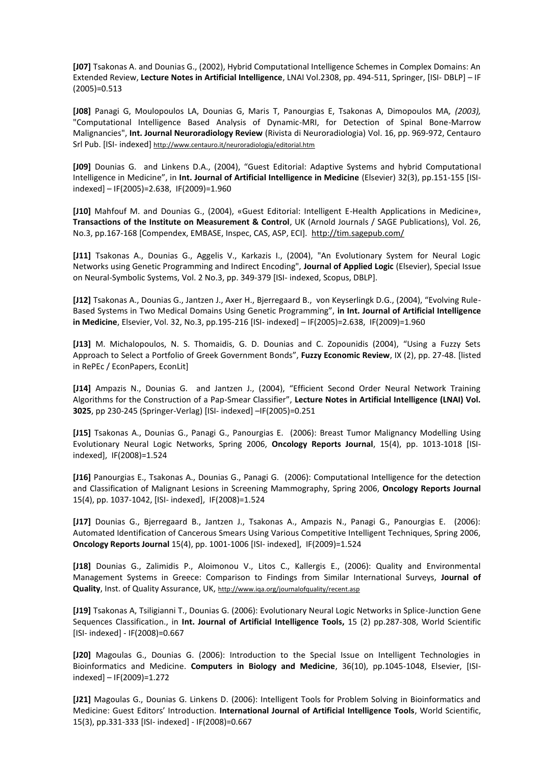**[J07]** Tsakonas A. and Dounias G., (2002), Hybrid Computational Intelligence Schemes in Complex Domains: An Extended Review, **Lecture Notes in Artificial Intelligence**, LNAI Vol.2308, pp. 494-511, Springer, [ISI- DBLP] – IF (2005)=0.513

**[J08]** Panagi G, Moulopoulos LA, Dounias G, Maris T, Panourgias E, Tsakonas A, Dimopoulos MA*, (2003),* "Computational Intelligence Based Analysis of Dynamic-MRI, for Detection of Spinal Bone-Marrow Malignancies", **Int. Journal Neuroradiology Review** (Rivista di Neuroradiologia) Vol. 16, pp. 969-972, Centauro Srl Pub. [ISI- indexed] http://www.centauro.it/neuroradiologia/editorial.htm

**[J09]** Dounias G. and Linkens D.A., (2004), "Guest Editorial: Adaptive Systems and hybrid Computational Intelligence in Medicine", in **Int. Journal of Artificial Intelligence in Medicine** (Elsevier) 32(3), pp.151-155 [ISIindexed] – IF(2005)=2.638, IF(2009)=1.960

**[J10]** Mahfouf M. and Dounias G., (2004), «Guest Editorial: Intelligent E-Health Applications in Medicine», **Transactions of the Institute on Measurement & Control**, UK (Arnold Journals / SAGE Publications), Vol. 26, No.3, pp.167-168 [Compendex, EMBASE, Inspec, CAS, ASP, ECI]. http://tim.sagepub.com/

**[J11]** Tsakonas A., Dounias G., Aggelis V., Karkazis I., (2004), "An Evolutionary System for Neural Logic Networks using Genetic Programming and Indirect Encoding", **Journal of Applied Logic** (Elsevier), Special Issue on Neural-Symbolic Systems, Vol. 2 No.3, pp. 349-379 [ISI- indexed, Scopus, DBLP].

**[J12]** Tsakonas Α., Dounias G., Jantzen J., Axer H., Bjerregaard B., von Keyserlingk D.G., (2004), "Evolving Rule-Based Systems in Two Medical Domains Using Genetic Programming", **in Int. Journal of Artificial Intelligence in Medicine**, Elsevier, Vol. 32, No.3, pp.195-216 [ISI- indexed] – IF(2005)=2.638, IF(2009)=1.960

**[J13]** M. Michalopoulos, N. S. Thomaidis, G. D. Dounias and C. Zopounidis (2004), "Using a Fuzzy Sets Approach to Select a Portfolio of Greek Government Bonds", **Fuzzy Economic Review**, IX (2), pp. 27-48. [listed in RePEc / EconPapers, EconLit]

**[J14]** Ampazis N., Dounias G. and Jantzen J., (2004), "Efficient Second Order Neural Network Training Algorithms for the Construction of a Pap-Smear Classifier", **Lecture Notes in Artificial Intelligence (LNAI) Vol. 3025**, pp 230-245 (Springer-Verlag) [ISI- indexed] –IF(2005)=0.251

**[J15]** Tsakonas Α., Dounias G., Panagi G., Panourgias E. (2006): Breast Tumor Malignancy Modelling Using Evolutionary Neural Logic Networks, Spring 2006, **Oncology Reports Journal**, 15(4), pp. 1013-1018 [ISIindexed], IF(2008)=1.524

**[J16]** Panourgias E., Tsakonas A., Dounias G., Panagi G. (2006): Computational Intelligence for the detection and Classification of Malignant Lesions in Screening Mammography, Spring 2006, **Oncology Reports Journal** 15(4), pp. 1037-1042, [ISI- indexed], IF(2008)=1.524

**[J17]** Dounias G., Bjerregaard B., Jantzen J., Tsakonas A., Ampazis N., Panagi G., Panourgias E. (2006): Automated Identification of Cancerous Smears Using Various Competitive Intelligent Techniques, Spring 2006, **Oncology Reports Journal** 15(4), pp. 1001-1006 [ISI- indexed], IF(2009)=1.524

**[J18]** Dounias G., Zalimidis P., Aloimonou V., Litos C., Kallergis E., (2006): Quality and Environmental Management Systems in Greece: Comparison to Findings from Similar International Surveys, **Journal of Quality**, Inst. of Quality Assurance, UK, http://www.iqa.org/journalofquality/recent.asp

**[J19]** Tsakonas A, Tsiligianni T., Dounias G. (2006): Evolutionary Neural Logic Networks in Splice-Junction Gene Sequences Classification., in **Int. Journal of Artificial Intelligence Tools,** 15 (2) pp.287-308, World Scientific [ISI- indexed] - IF(2008)=0.667

**[J20]** Magoulas G., Dounias G. (2006): Introduction to the Special Issue on Intelligent Technologies in Bioinformatics and Medicine. **Computers in Biology and Medicine**, 36(10), pp.1045-1048, Elsevier, [ISIindexed] – IF(2009)=1.272

**[J21]** Magoulas G., Dounias G. Linkens D. (2006): Intelligent Tools for Problem Solving in Bioinformatics and Medicine: Guest Editors' Introduction. **International Journal of Artificial Intelligence Tools**, World Scientific, 15(3), pp.331-333 [ISI- indexed] - IF(2008)=0.667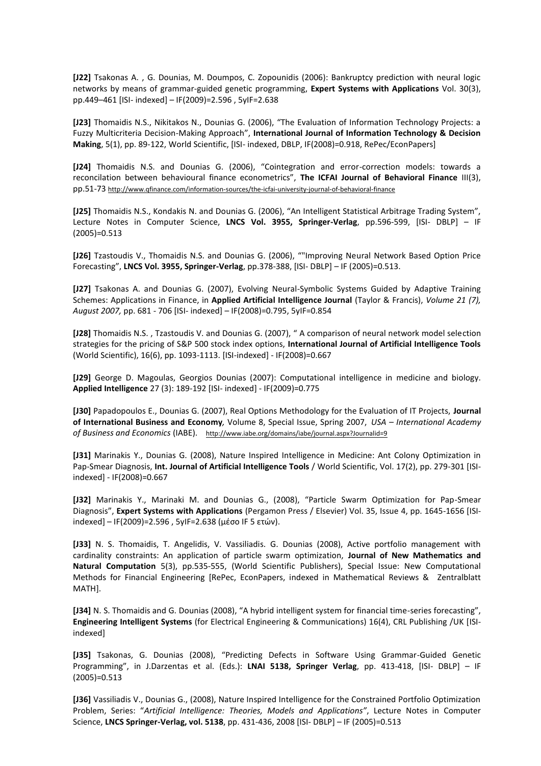**[J22]** Tsakonas A. , G. Dounias, M. Doumpos, C. Zopounidis (2006): Bankruptcy prediction with neural logic networks by means of grammar-guided genetic programming, **Expert Systems with Applications** Vol. 30(3), pp.449–461 [ISI- indexed] – IF(2009)=2.596 , 5yIF=2.638

**[J23]** Thomaidis N.S., Nikitakos N., Dounias G. (2006), "The Evaluation of Information Technology Projects: a Fuzzy Multicriteria Decision-Making Approach", **International Journal of Information Technology & Decision Making**, 5(1), pp. 89-122, World Scientific, [ISI- indexed, DBLP, IF(2008)=0.918, RePec/EconPapers]

**[J24]** Thomaidis N.S. and Dounias G. (2006), "Cointegration and error-correction models: towards a reconcilation between behavioural finance econometrics", **The ICFAI Journal of Behavioral Finance** III(3), pp.51-73 http://www.qfinance.com/information-sources/the-icfai-university-journal-of-behavioral-finance

**[J25]** Thomaidis N.S., Kondakis N. and Dounias G. (2006), "An Ιntelligent Statistical Arbitrage Trading System", Lecture Notes in Computer Science, **LNCS Vol. 3955, Springer-Verlag**, pp.596-599, [ISI- DBLP] – IF (2005)=0.513

**[J26]** Tzastoudis V., Thomaidis N.S. and Dounias G. (2006), ""Improving Neural Network Based Option Price Forecasting", **LNCS Vol. 3955, Springer-Verlag**, pp.378-388, [ISI- DBLP] – IF (2005)=0.513.

**[J27]** Tsakonas A. and Dounias G. (2007), Evolving Neural-Symbolic Systems Guided by Adaptive Training Schemes: Applications in Finance, in **Applied Artificial Intelligence Journal** (Taylor & Francis), *Volume 21 (7), August 2007,* pp. 681 - 706 [ISI- indexed] – IF(2008)=0.795, 5yIF=0.854

**[J28]** Thomaidis N.S. , Tzastoudis V. and Dounias G. (2007), " A comparison of neural network model selection strategies for the pricing of S&P 500 stock index options, **International Journal of Artificial Intelligence Tools** (World Scientific), 16(6), pp. 1093-1113. [ISI-indexed] - IF(2008)=0.667

**[J29]** George D. Magoulas, Georgios Dounias (2007): Computational intelligence in medicine and biology. **Applied Intelligence** 27 (3): 189-192 [ISI- indexed] - IF(2009)=0.775

**[J30]** Papadopoulos E., Dounias G. (2007), Real Options Methodology for the Evaluation of IT Projects, **Journal of International Business and Economy***,* Volume 8, Special Issue, Spring 2007, *USA – International Academy of Business and Economics* (IABE). http://www.iabe.org/domains/iabe/journal.aspx?Journalid=9

**[J31]** Marinakis Y., Dounias G. (2008), Nature Inspired Intelligence in Medicine: Ant Colony Optimization in Pap-Smear Diagnosis, **Int. Journal of Artificial Intelligence Tools** / World Scientific, Vol. 17(2), pp. 279-301 [ISIindexed] - IF(2008)=0.667

**[J32]** Marinakis Y., Marinaki M. and Dounias G., (2008), "Particle Swarm Optimization for Pap-Smear Diagnosis", **Expert Systems with Applications** (Pergamon Press / Elsevier) Vol. 35, Issue 4, pp. 1645-1656 [ISIindexed] – IF(2009)=2.596 , 5yIF=2.638 (μέσο IF 5 ετών).

**[J33]** N. S. Thomaidis, T. Angelidis, V. Vassiliadis. G. Dounias (2008), Active portfolio management with cardinality constraints: An application of particle swarm optimization, **Journal of New Mathematics and Natural Computation** 5(3), pp.535-555, (World Scientific Publishers), Special Issue: New Computational Methods for Financial Engineering [RePec, EconPapers, indexed in Mathematical Reviews & Zentralblatt MATH].

**[J34]** N. S. Thomaidis and G. Dounias (2008), "A hybrid intelligent system for financial time-series forecasting", **Engineering Intelligent Systems** (for Electrical Engineering & Communications) 16(4), CRL Publishing /UK [ISIindexed]

**[J35]** Tsakonas, G. Dounias (2008), "Predicting Defects in Software Using Grammar-Guided Genetic Programming", in J.Darzentas et al. (Eds.): **LNAI 5138, Springer Verlag**, pp. 413-418, [ISI- DBLP] – IF (2005)=0.513

**[J36]** Vassiliadis V., Dounias G., (2008), Nature Inspired Intelligence for the Constrained Portfolio Optimization Problem, Series: "*Artificial Intelligence: Theories, Models and Applications"*, Lecture Notes in Computer Science, **LNCS Springer-Verlag, vol. 5138**, pp. 431-436, 2008 [ISI- DBLP] – IF (2005)=0.513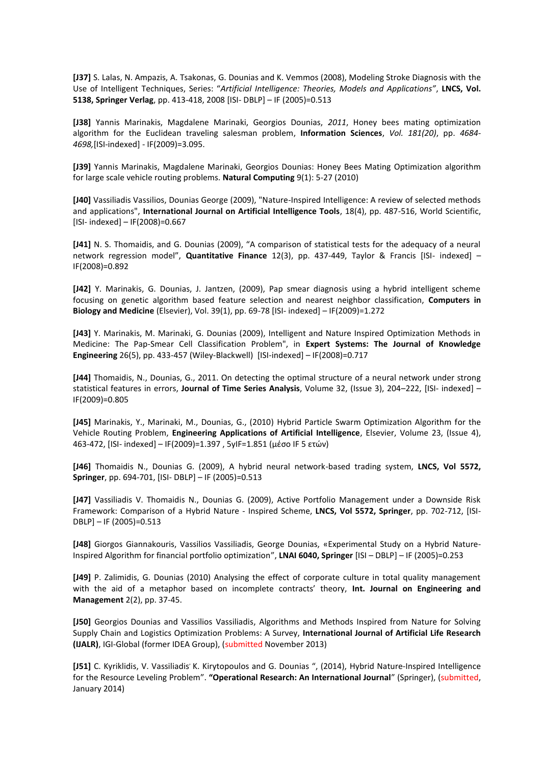**[J37]** S. Lalas, N. Ampazis, A. Tsakonas, G. Dounias and K. Vemmos (2008), Modeling Stroke Diagnosis with the Use of Intelligent Techniques, Series: "*Artificial Intelligence: Theories, Models and Applications"*, **LNCS, Vol. 5138, Springer Verlag**, pp. 413-418, 2008 [ISI- DBLP] – IF (2005)=0.513

**[J38]** Yannis Marinakis, Magdalene Marinaki, Georgios Dounias, *2011*, Honey bees mating optimization algorithm for the Euclidean traveling salesman problem, **Information Sciences**, *Vol. 181(20)*, pp. *4684- 4698,*[ISI-indexed] - IF(2009)=3.095.

**[J39]** Yannis Marinakis, Magdalene Marinaki, Georgios Dounias: Honey Bees Mating Optimization algorithm for large scale vehicle routing problems. **Natural Computing** 9(1): 5-27 (2010)

**[J40]** Vassiliadis Vassilios, Dounias George (2009), "Nature-Inspired Intelligence: A review of selected methods and applications", **International Journal on Artificial Intelligence Tools**, 18(4), pp. 487-516, World Scientific, [ISI- indexed] – IF(2008)=0.667

**[J41]** N. S. Thomaidis, and G. Dounias (2009), "A comparison of statistical tests for the adequacy of a neural network regression model", **Quantitative Finance** 12(3), pp. 437-449, Taylor & Francis [ISI- indexed] – IF(2008)=0.892

**[J42]** Y. Marinakis, G. Dounias, J. Jantzen, (2009), Pap smear diagnosis using a hybrid intelligent scheme focusing on genetic algorithm based feature selection and nearest neighbor classification, **Computers in Biology and Medicine** (Elsevier), Vol. 39(1), pp. 69-78 [ISI- indexed] – IF(2009)=1.272

**[J43]** Y. Marinakis, M. Marinaki, G. Dounias (2009), Intelligent and Nature Inspired Optimization Methods in Medicine: The Pap-Smear Cell Classification Problem", in **Expert Systems: The Journal of Knowledge Engineering** 26(5), pp. 433-457 (Wiley-Blackwell) [ISI-indexed] – IF(2008)=0.717

**[J44]** Thomaidis, N., Dounias, G., 2011. On detecting the optimal structure of a neural network under strong statistical features in errors, **Journal of Time Series Analysis**, Volume 32, (Issue 3), 204–222, [ISI- indexed] – IF(2009)=0.805

**[J45]** Marinakis, Y., Marinaki, M., Dounias, G., (2010) Hybrid Particle Swarm Optimization Algorithm for the Vehicle Routing Problem, **Engineering Applications of Artificial Intelligence**, Elsevier, Volume 23, (Issue 4), 463-472, [ISI- indexed] – IF(2009)=1.397 , 5yIF=1.851 (μέσο IF 5 ετών)

**[J46]** Thomaidis N., Dounias G. (2009), A hybrid neural network-based trading system, **LNCS, Vol 5572, Springer**, pp. 694-701, [ISI- DBLP] – IF (2005)=0.513

**[J47]** Vassiliadis V. Thomaidis N., Dounias G. (2009), Active Portfolio Management under a Downside Risk Framework: Comparison of a Hybrid Nature - Inspired Scheme, **LNCS, Vol 5572, Springer**, pp. 702-712, [ISI-DBLP] – IF (2005)=0.513

**[J48]** Giorgos Giannakouris, Vassilios Vassiliadis, George Dounias, «Experimental Study on a Hybrid Nature-Inspired Algorithm for financial portfolio optimization", **LNAI 6040, Springer** [ISI – DBLP] – IF (2005)=0.253

**[J49]** P. Zalimidis, G. Dounias (2010) Analysing the effect of corporate culture in total quality management with the aid of a metaphor based on incomplete contracts' theory, **Int. Journal on Engineering and Management** 2(2), pp. 37-45.

**[J50]** Georgios Dounias and Vassilios Vassiliadis, Algorithms and Methods Inspired from Nature for Solving Supply Chain and Logistics Optimization Problems: A Survey, **International Journal of Artificial Life Research (IJALR)**, IGI-Global (former IDEA Group), (submitted November 2013)

[J51] C. Kyriklidis, V. Vassiliadis' K. Kirytopoulos and G. Dounias ", (2014), Hybrid Nature-Inspired Intelligence for the Resource Leveling Problem". **"Operational Research: An International Journal**" (Springer), (submitted, January 2014)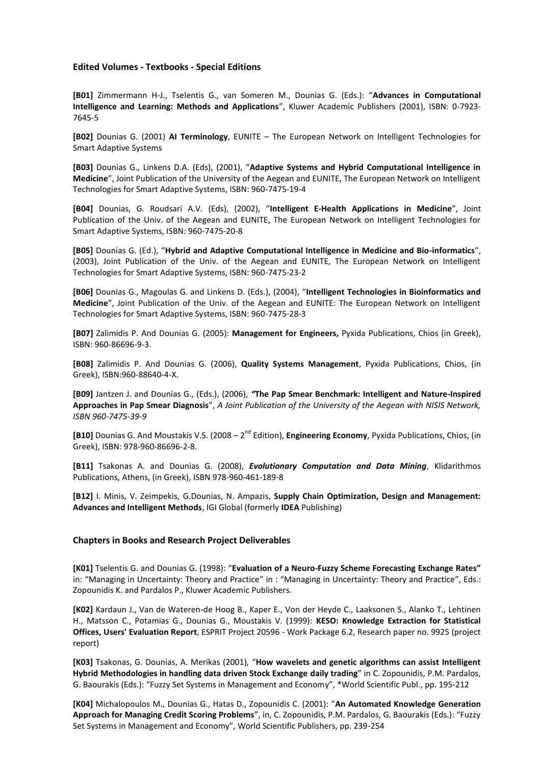#### **Edited Volumes - Textbooks - Special Editions**

**[B01]** Zimmermann H-J., Tselentis G., van Someren M., Dounias G. (Eds.): "**Advances in Computational Intelligence and Learning: Methods and Applications**", Kluwer Academic Publishers (2001), ISBN: 0-7923- 7645-5

**[B02]** Dounias G. (2001) **AI Terminology**, EUNITE – The European Network on Intelligent Technologies for Smart Adaptive Systems

**[B03]** Dounias G., Linkens D.A. (Eds), (2001), "**Adaptive Systems and Hybrid Computational Intelligence in Medicine**", Joint Publication of the University of the Aegean and EUNITE, The European Network on Intelligent Technologies for Smart Adaptive Systems, ISBN: 960-7475-19-4

**[B04]** Dounias, G. Roudsari A.V. (Eds), (2002), "**Intelligent E-Health Applications in Medicine**", Joint Publication of the Univ. of the Aegean and EUNITE, The European Network on Intelligent Technologies for Smart Adaptive Systems, ISBN: 960-7475-20-8

**[B05]** Dounias G. (Ed.), "**Hybrid and Adaptive Computational Intelligence in Medicine and Bio-informatics**", (2003), Joint Publication of the Univ. of the Aegean and EUNITE, The European Network on Intelligent Technologies for Smart Adaptive Systems, ISBN: 960-7475-23-2

**[B06]** Dounias G., Magoulas G. and Linkens D. (Eds.), (2004), "**Intelligent Technologies in Bioinformatics and Medicine**", Joint Publication of the Univ. of the Aegean and EUNITE: The European Network on Intelligent Technologies for Smart Adaptive Systems, ISBN: 960-7475-28-3

**[B07]** Zalimidis P. And Dounias G. (2005): **Management for Engineers,** Pyxida Publications, Chios (in Greek), ISBN: 960-86696-9-3.

**[B08]** Zalimidis P. And Dounias G. (2006), **Quality Systems Management**, Pyxida Publications, Chios, (in Greek), ISBN:960-88640-4-X.

**[B09]** Jantzen J. and Dounias G., (Eds.), (2006), *"***The Pap Smear Benchmark: Intelligent and Nature-Inspired Approaches in Pap Smear Diagnosis**", *A Joint Publication of the University of the Aegean with NISIS Network, ISBN 960-7475-39-9*

**[B10]** Dounias G. And Moustakis V.S. (2008 – 2<sup>nd</sup> Edition), **Engineering Economy**, Pyxida Publications, Chios, (in Greek), ISBN: 978-960-86696-2-8.

**[B11]** Tsakonas A. and Dounias G. (2008), *Evolutionary Computation and Data Mining*, Klidarithmos Publications, Athens, (in Greek), ΙSBN 978-960-461-189-8

**[B12]** I. Minis, V. Zeimpekis, G.Dounias, N. Ampazis, **Supply Chain Optimization, Design and Management: Advances and Intelligent Methods**, IGI Global (formerly **IDEA** Publishing)

#### **Chapters in Books and Research Project Deliverables**

**[K01]** Tselentis G. and Dounias G. (1998): "**Evaluation of a Neuro-Fuzzy Scheme Forecasting Exchange Rates"** in: "Managing in Uncertainty: Theory and Practice" in : "Managing in Uncertainty: Theory and Practice", Eds.: Zopounidis K. and Pardalos P., Kluwer Academic Publishers.

**[K02]** Kardaun J., Van de Wateren-de Hoog B., Kaper E., Von der Heyde C., Laaksonen S., Alanko T., Lehtinen H., Matsson C., Potamias G., Dounias G., Moustakis V. (1999): **KESO: Knowledge Extraction for Statistical Offices, Users' Evaluation Report**, ESPRIT Project 20596 - Work Package 6.2, Research paper no. 9925 (project report)

**[K03]** Tsakonas, G. Dounias, A. Merikas (2001)*,* "**How wavelets and genetic algorithms can assist Intelligent Hybrid Methodologies in handling data driven Stock Exchange daily trading**" in C. Zopounidis, P.M. Pardalos, G. Baourakis (Eds.): "Fuzzy Set Systems in Management and Economy", \*World Scientific Publ., pp. 195-212

**[K04]** Michalopoulos M., Dounias G., Hatas D., Zopounidis C. (2001): "**An Automated Knowledge Generation Approach for Managing Credit Scoring Problems**", in, C. Zopounidis, P.M. Pardalos, G. Baourakis (Eds.): "Fuzzy Set Systems in Management and Economy", World Scientific Publishers, pp. 239-254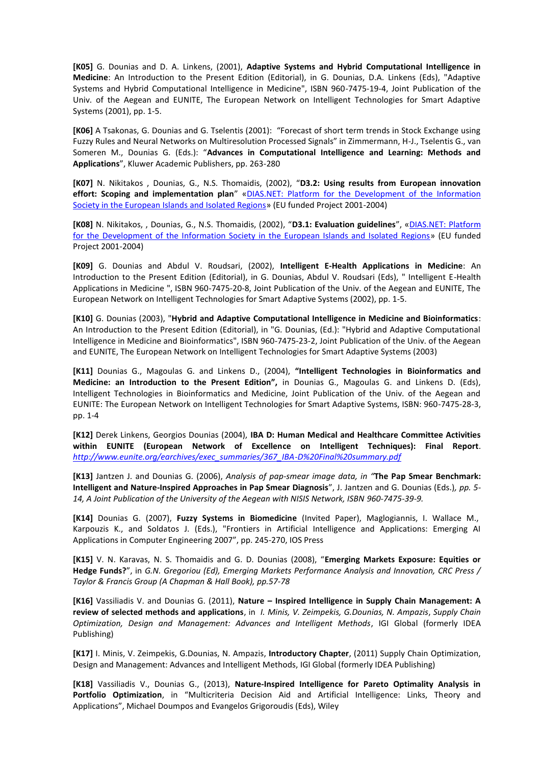**[K05]** G. Dounias and D. A. Linkens, (2001), **Adaptive Systems and Hybrid Computational Intelligence in Medicine**: An Introduction to the Present Edition (Editorial), in G. Dounias, D.A. Linkens (Eds), "Adaptive Systems and Hybrid Computational Intelligence in Medicine", ISBN 960-7475-19-4, Joint Publication of the Univ. of the Aegean and EUNITE, The European Network on Intelligent Technologies for Smart Adaptive Systems (2001), pp. 1-5.

**[K06]** A Tsakonas, G. Dounias and G. Tselentis (2001): "Forecast of short term trends in Stock Exchange using Fuzzy Rules and Neural Networks on Multiresolution Processed Signals" in Zimmermann, H-J., Tselentis G., van Someren M., Dounias G. (Eds.): "**Advances in Computational Intelligence and Learning: Methods and Applications**", Kluwer Academic Publishers, pp. 263-280

**[K07]** N. Nikitakos , Dounias, G., N.S. Thomaidis, (2002), "**D3.2: Using results from European innovation effort: Scoping and implementation plan**" «DIAS.ΝΕΤ: Platform for the Development of the Information Society in the European Islands and Isolated Regions» (EU funded Project 2001-2004)

**[K08]** N. Nikitakos, , Dounias, G., N.S. Thomaidis, (2002), "**D3.1: Evaluation guidelines**", «DIAS.ΝΕΤ: Platform for the Development of the Information Society in the European Islands and Isolated Regions» (EU funded Project 2001-2004)

**[K09]** G. Dounias and Abdul V. Roudsari, (2002), **Intelligent E-Health Applications in Medicine**: An Introduction to the Present Edition (Editorial), in G. Dounias, Abdul V. Roudsari (Eds), " Intelligent E-Health Applications in Medicine ", ISBN 960-7475-20-8, Joint Publication of the Univ. of the Aegean and EUNITE, The European Network on Intelligent Technologies for Smart Adaptive Systems (2002), pp. 1-5.

**[K10]** G. Dounias (2003), "**Hybrid and Adaptive Computational Intelligence in Medicine and Bioinformatics**: An Introduction to the Present Edition (Editorial), in "G. Dounias, (Ed.): "Hybrid and Adaptive Computational Intelligence in Medicine and Bioinformatics", ISBN 960-7475-23-2, Joint Publication of the Univ. of the Aegean and EUNITE, The European Network on Intelligent Technologies for Smart Adaptive Systems (2003)

**[K11]** Dounias G., Magoulas G. and Linkens D., (2004), **"Intelligent Technologies in Bioinformatics and Medicine: an Introduction to the Present Edition",** in Dounias G., Magoulas G. and Linkens D. (Eds), Intelligent Technologies in Bioinformatics and Medicine, Joint Publication of the Univ. of the Aegean and EUNITE: The European Network on Intelligent Technologies for Smart Adaptive Systems, ISBN: 960-7475-28-3, pp. 1-4

**[K12]** Derek Linkens, Georgios Dounias (2004), **IBA D: Human Medical and Healthcare Committee Activities within EUNITE (European Network of Excellence on Intelligent Techniques): Final Report**. *http://www.eunite.org/earchives/exec\_summaries/367\_IBA-D%20Final%20summary.pdf*

**[K13]** Jantzen J. and Dounias G. (2006), *Analysis of pap-smear image data, in "***The Pap Smear Benchmark: Intelligent and Nature-Inspired Approaches in Pap Smear Diagnosis**", J. Jantzen and G. Dounias (Eds.)*, pp. 5- 14, A Joint Publication of the University of the Aegean with NISIS Network, ISBN 960-7475-39-9.*

**[K14]** Dounias G. (2007), **Fuzzy Systems in Biomedicine** (Invited Paper), Maglogiannis, I. Wallace M., Karpouzis K., and Soldatos J. (Eds.), "Frontiers in Artificial Intelligence and Applications: Emerging AI Applications in Computer Engineering 2007", pp. 245-270, IOS Press

**[K15]** V. N. Karavas, N. S. Thomaidis and G. D. Dounias (2008), "**Emerging Markets Exposure: Equities or Hedge Funds?**", in *G.N. Gregoriou (Ed), Emerging Markets Performance Analysis and Innovation, CRC Press / Taylor & Francis Group (A Chapman & Hall Book), pp.57-78*

**[K16]** Vassiliadis V. and Dounias G. (2011), **Nature – Inspired Intelligence in Supply Chain Management: A review of selected methods and applications**, in *I. Minis, V. Zeimpekis, G.Dounias, N. Ampazis*, *Supply Chain Optimization, Design and Management: Advances and Intelligent Methods*, IGI Global (formerly IDEA Publishing)

**[K17]** I. Minis, V. Zeimpekis, G.Dounias, N. Ampazis, **Introductory Chapter**, (2011) Supply Chain Optimization, Design and Management: Advances and Intelligent Methods, IGI Global (formerly IDEA Publishing)

**[K18]** Vassiliadis V., Dounias G., (2013), **Nature-Inspired Intelligence for Pareto Optimality Analysis in Portfolio Optimization**, in "Multicriteria Decision Aid and Artificial Intelligence: Links, Theory and Applications", Michael Doumpos and Evangelos Grigoroudis (Eds), Wiley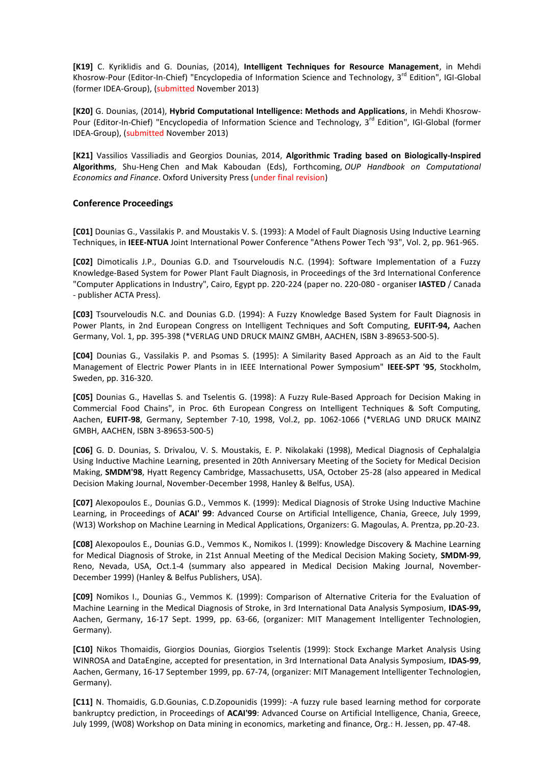**[K19]** C. Kyriklidis and G. Dounias, (2014), **Intelligent Techniques for Resource Management**, in Mehdi Khosrow-Pour (Editor-In-Chief) "Encyclopedia of Information Science and Technology, 3<sup>rd</sup> Edition", IGI-Global (former IDEA-Group), (submitted November 2013)

**[K20]** G. Dounias, (2014), **Hybrid Computational Intelligence: Methods and Applications**, in Mehdi Khosrow-Pour (Editor-In-Chief) "Encyclopedia of Information Science and Technology, 3<sup>rd</sup> Edition", IGI-Global (former IDEA-Group), (submitted November 2013)

**[K21]** Vassilios Vassiliadis and Georgios Dounias, 2014, **Algorithmic Trading based on Biologically-Inspired Algorithms**, Shu-Heng Chen and Mak Kaboudan (Eds), Forthcoming, *OUP Handbook on Computational Economics and Finance*. Oxford University Press (under final revision)

### **Conference Proceedings**

**[C01]** Dounias G., Vassilakis P. and Moustakis V. S. (1993): A Model of Fault Diagnosis Using Inductive Learning Techniques, in **IEEE-NTUA** Joint International Power Conference "Athens Power Tech '93", Vol. 2, pp. 961-965.

**[C02]** Dimoticalis J.P., Dounias G.D. and Tsourveloudis N.C. (1994): Software Implementation of a Fuzzy Knowledge-Based System for Power Plant Fault Diagnosis, in Proceedings of the 3rd International Conference "Computer Applications in Industry", Cairo, Egypt pp. 220-224 (paper no. 220-080 - organiser **IASTED** / Canada - publisher ACTA Press).

**[C03]** Tsourveloudis N.C. and Dounias G.D. (1994): A Fuzzy Knowledge Based System for Fault Diagnosis in Power Plants, in 2nd European Congress on Intelligent Techniques and Soft Computing, **EUFIT-94,** Aachen Germany, Vol. 1, pp. 395-398 (\*VERLAG UND DRUCK MAINZ GMBH, AACHEN, ISBN 3-89653-500-5).

**[C04]** Dounias G., Vassilakis P. and Psomas S. (1995): A Similarity Based Approach as an Aid to the Fault Management of Electric Power Plants in in IEEE International Power Symposium" **IEEE-SPT '95**, Stockholm, Sweden, pp. 316-320.

**[C05]** Dounias G., Havellas S. and Tselentis G. (1998): A Fuzzy Rule-Based Approach for Decision Making in Commercial Food Chains", in Proc. 6th European Congress on Intelligent Techniques & Soft Computing, Aachen, **EUFIT-98**, Germany, September 7-10, 1998, Vol.2, pp. 1062-1066 (\*VERLAG UND DRUCK MAINZ GMBH, AACHEN, ISBN 3-89653-500-5)

**[C06]** G. D. Dounias, S. Drivalou, V. S. Moustakis, E. P. Nikolakaki (1998), Medical Diagnosis of Cephalalgia Using Inductive Machine Learning, presented in 20th Anniversary Meeting of the Society for Medical Decision Making, **SMDM'98**, Hyatt Regency Cambridge, Massachusetts, USA, October 25-28 (also appeared in Medical Decision Making Journal, November-December 1998, Hanley & Belfus, USA).

**[C07]** Alexopoulos E., Dounias G.D., Vemmos K. (1999): Medical Diagnosis of Stroke Using Inductive Machine Learning, in Proceedings of **ACAI' 99**: Advanced Course on Artificial Intelligence, Chania, Greece, July 1999, (W13) Workshop on Machine Learning in Medical Applications, Organizers: G. Magoulas, A. Prentza, pp.20-23.

**[C08]** Alexopoulos E., Dounias G.D., Vemmos K., Nomikos I. (1999): Knowledge Discovery & Machine Learning for Medical Diagnosis of Stroke, in 21st Annual Meeting of the Medical Decision Making Society, **SMDM-99**, Reno, Nevada, USA, Oct.1-4 (summary also appeared in Medical Decision Making Journal, November-December 1999) (Hanley & Belfus Publishers, USA).

**[C09]** Nomikos I., Dounias G., Vemmos K. (1999): Comparison of Alternative Criteria for the Evaluation of Machine Learning in the Medical Diagnosis of Stroke, in 3rd International Data Analysis Symposium, **IDAS-99,** Aachen, Germany, 16-17 Sept. 1999, pp. 63-66, (organizer: MIT Management Intelligenter Technologien, Germany).

**[C10]** Nikos Thomaidis, Giorgios Dounias, Giorgios Tselentis (1999): Stock Exchange Market Analysis Using WINROSA and DataEngine, accepted for presentation, in 3rd International Data Analysis Symposium, **IDAS-99**, Aachen, Germany, 16-17 September 1999, pp. 67-74, (organizer: MIT Management Intelligenter Technologien, Germany).

**[C11]** N. Thomaidis, G.D.Gounias, C.D.Zopounidis (1999): -A fuzzy rule based learning method for corporate bankruptcy prediction, in Proceedings of **ACAI'99**: Advanced Course on Artificial Intelligence, Chania, Greece, July 1999, (W08) Workshop on Data mining in economics, marketing and finance, Org.: H. Jessen, pp. 47-48.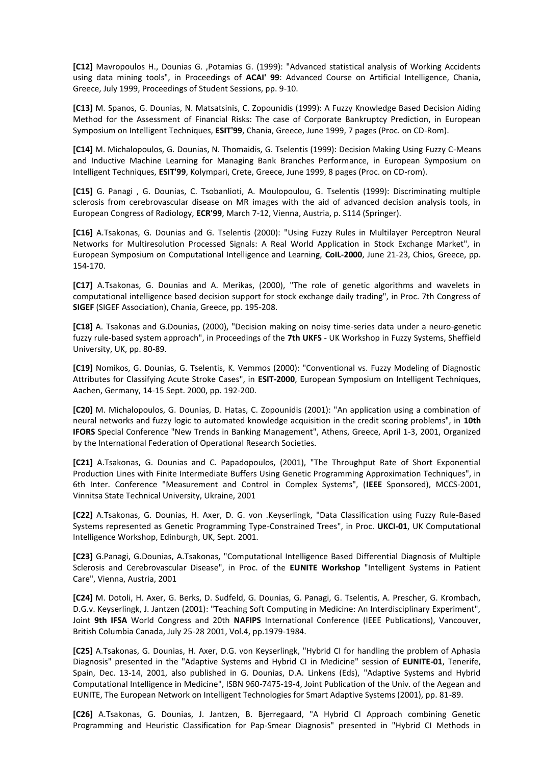**[C12]** Mavropoulos H., Dounias G. ,Potamias G. (1999): "Advanced statistical analysis of Working Accidents using data mining tools", in Proceedings of **ACAI' 99**: Advanced Course on Artificial Intelligence, Chania, Greece, July 1999, Proceedings of Student Sessions, pp. 9-10.

**[C13]** M. Spanos, G. Dounias, N. Matsatsinis, C. Zopounidis (1999): A Fuzzy Knowledge Based Decision Aiding Method for the Assessment of Financial Risks: The case of Corporate Bankruptcy Prediction, in European Symposium on Intelligent Techniques, **ESIT'99**, Chania, Greece, June 1999, 7 pages (Proc. on CD-Rom).

**[C14]** M. Michalopoulos, G. Dounias, N. Thomaidis, G. Tselentis (1999): Decision Making Using Fuzzy C-Means and Inductive Machine Learning for Managing Bank Branches Performance, in European Symposium on Intelligent Techniques, **ESIT'99**, Kolympari, Crete, Greece, June 1999, 8 pages (Proc. on CD-rom).

**[C15]** G. Panagi , G. Dounias, C. Tsobanlioti, A. Moulopoulou, G. Tselentis (1999): Discriminating multiple sclerosis from cerebrovascular disease on MR images with the aid of advanced decision analysis tools, in European Congress of Radiology, **ECR'99**, March 7-12, Vienna, Austria, p. S114 (Springer).

**[C16]** A.Tsakonas, G. Dounias and G. Tselentis (2000): "Using Fuzzy Rules in Multilayer Perceptron Neural Networks for Multiresolution Processed Signals: A Real World Application in Stock Exchange Market", in European Symposium on Computational Intelligence and Learning, **CoIL-2000**, June 21-23, Chios, Greece, pp. 154-170.

**[C17]** A.Tsakonas, G. Dounias and A. Merikas, (2000), "The role of genetic algorithms and wavelets in computational intelligence based decision support for stock exchange daily trading", in Proc. 7th Congress of **SIGEF** (SIGEF Association), Chania, Greece, pp. 195-208.

**[C18]** Α. Tsakonas and G.Dounias, (2000), "Decision making on noisy time-series data under a neuro-genetic fuzzy rule-based system approach", in Proceedings of the **7th UKFS** - UK Workshop in Fuzzy Systems, Sheffield University, UK, pp. 80-89.

**[C19]** Nomikos, G. Dounias, G. Tselentis, K. Vemmos (2000): "Conventional vs. Fuzzy Modeling of Diagnostic Attributes for Classifying Acute Stroke Cases", in **ESIT-2000**, European Symposium on Intelligent Techniques, Aachen, Germany, 14-15 Sept. 2000, pp. 192-200.

**[C20]** M. Michalopoulos, G. Dounias, D. Hatas, C. Zopounidis (2001): "An application using a combination of neural networks and fuzzy logic to automated knowledge acquisition in the credit scoring problems", in **10th IFORS** Special Conference "New Trends in Banking Management", Athens, Greece, April 1-3, 2001, Organized by the International Federation of Operational Research Societies.

**[C21]** A.Tsakonas, G. Dounias and C. Papadopoulos, (2001), "The Throughput Rate of Short Exponential Production Lines with Finite Intermediate Buffers Using Genetic Programming Approximation Techniques", in 6th Inter. Conference "Measurement and Control in Complex Systems", (**IEEE** Sponsored), MCCS-2001, Vinnitsa State Technical University, Ukraine, 2001

**[C22]** A.Tsakonas, G. Dounias, H. Axer, D. G. von .Keyserlingk, "Data Classification using Fuzzy Rule-Based Systems represented as Genetic Programming Type-Constrained Trees", in Proc. **UKCI-01**, UK Computational Intelligence Workshop, Edinburgh, UK, Sept. 2001.

**[C23]** G.Panagi, G.Dounias, A.Tsakonas, "Computational Intelligence Based Differential Diagnosis of Multiple Sclerosis and Cerebrovascular Disease", in Proc. of the **EUNITE Workshop** "Intelligent Systems in Patient Care", Vienna, Austria, 2001

**[C24]** M. Dotoli, H. Axer, G. Berks, D. Sudfeld, G. Dounias, G. Panagi, G. Tselentis, A. Prescher, G. Krombach, D.G.v. Keyserlingk, J. Jantzen (2001): "Teaching Soft Computing in Medicine: An Interdisciplinary Experiment", Joint **9th IFSA** World Congress and 20th **NAFIPS** International Conference (IEEE Publications), Vancouver, British Columbia Canada, July 25-28 2001, Vol.4, pp.1979-1984.

**[C25]** A.Tsakonas, G. Dounias, H. Axer, D.G. von Keyserlingk, "Hybrid CI for handling the problem of Aphasia Diagnosis" presented in the "Adaptive Systems and Hybrid CI in Medicine" session of **EUNITE-01**, Tenerife, Spain, Dec. 13-14, 2001, also published in G. Dounias, D.A. Linkens (Eds), "Adaptive Systems and Hybrid Computational Intelligence in Medicine", ISBN 960-7475-19-4, Joint Publication of the Univ. of the Aegean and EUNITE, The European Network on Intelligent Technologies for Smart Adaptive Systems (2001), pp. 81-89.

**[C26]** A.Tsakonas, G. Dounias, J. Jantzen, B. Bjerregaard, "A Hybrid CI Approach combining Genetic Programming and Heuristic Classification for Pap-Smear Diagnosis" presented in "Hybrid CI Methods in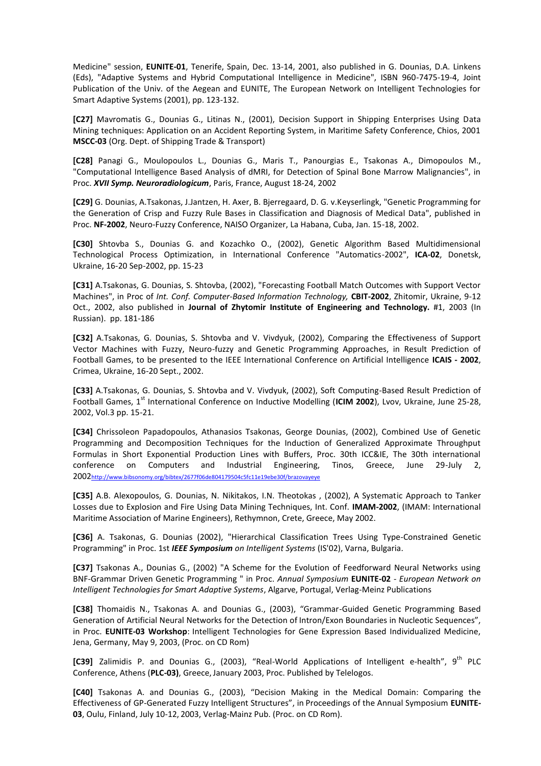Medicine" session, **EUNITE-01**, Tenerife, Spain, Dec. 13-14, 2001, also published in G. Dounias, D.A. Linkens (Eds), "Adaptive Systems and Hybrid Computational Intelligence in Medicine", ISBN 960-7475-19-4, Joint Publication of the Univ. of the Aegean and EUNITE, The European Network on Intelligent Technologies for Smart Adaptive Systems (2001), pp. 123-132.

**[C27]** Mavromatis G., Dounias G., Litinas N., (2001), Decision Support in Shipping Enterprises Using Data Mining techniques: Application on an Accident Reporting System, in Maritime Safety Conference, Chios, 2001 **MSCC-03** (Org. Dept. of Shipping Trade & Transport)

**[C28]** Panagi G., Moulopoulos L., Dounias G., Maris T., Panourgias E., Tsakonas A., Dimopoulos M., "Computational Intelligence Based Analysis of dMRI, for Detection of Spinal Bone Marrow Malignancies", in Proc. *XVII Symp. Neuroradiologicum*, Paris, France, August 18-24, 2002

**[C29]** G. Dounias, A.Tsakonas, J.Jantzen, H. Axer, B. Bjerregaard, D. G. v.Keyserlingk, "Genetic Programming for the Generation of Crisp and Fuzzy Rule Bases in Classification and Diagnosis of Medical Data", published in Proc. **NF-2002**, Neuro-Fuzzy Conference, NAISO Organizer, La Habana, Cuba, Jan. 15-18, 2002.

**[C30]** Shtovba S., Dounias G. and Kozachko O., (2002), Genetic Algorithm Based Multidimensional Technological Process Optimization, in International Conference "Automatics-2002", **ICA-02**, Donetsk, Ukraine, 16-20 Sep-2002, pp. 15-23

**[C31]** A.Tsakonas, G. Dounias, S. Shtovba, (2002), "Forecasting Football Match Outcomes with Support Vector Machines", in Proc of *Int. Conf. Computer-Based Information Technology,* **CBIT-2002**, Zhitomir, Ukraine, 9-12 Oct., 2002, also published in **Journal of Zhytomir Institute of Engineering and Technology.** #1, 2003 (In Russian). pp. 181-186

**[C32]** A.Tsakonas, G. Dounias, S. Shtovba and V. Vivdyuk, (2002), Comparing the Effectiveness of Support Vector Machines with Fuzzy, Neuro-fuzzy and Genetic Programming Approaches, in Result Prediction of Football Games, to be presented to the IEEE International Conference on Artificial Intelligence **ICAIS - 2002**, Crimea, Ukraine, 16-20 Sept., 2002.

**[C33]** A.Tsakonas, G. Dounias, S. Shtovba and V. Vivdyuk, (2002), Soft Computing-Based Result Prediction of Football Games, 1<sup>st</sup> International Conference on Inductive Modelling (ICIM 2002), Lvov, Ukraine, June 25-28, 2002, Vol.3 pp. 15-21.

**[C34]** Chrissoleon Papadopoulos, Athanasios Tsakonas, George Dounias, (2002), Combined Use of Genetic Programming and Decomposition Techniques for the Induction of Generalized Approximate Throughput Formulas in Short Exponential Production Lines with Buffers, Proc. 30th ICC&IE, The 30th international conference on Computers and Industrial Engineering, Tinos, Greece, June 29-July 2, 2002http://www.bibsonomy.org/bibtex/2677f06de804179504c5fc11e19ebe30f/brazovayeye

**[C35]** A.B. Alexopoulos, G. Dounias, N. Nikitakos, I.N. Theotokas , (2002), A Systematic Approach to Tanker Losses due to Explosion and Fire Using Data Mining Techniques, Int. Conf. **IMAM-2002**, (IMAM: International Maritime Association of Marine Engineers), Rethymnon, Crete, Greece, May 2002.

**[C36]** A. Tsakonas, G. Dounias (2002), "Hierarchical Classification Trees Using Type-Constrained Genetic Programming" in Proc. 1st *IEEE Symposium on Intelligent Systems* (IS'02), Varna, Bulgaria.

**[C37]** Tsakonas A., Dounias G., (2002) "A Scheme for the Evolution of Feedforward Neural Networks using BNF-Grammar Driven Genetic Programming " in Proc. *Annual Symposium* **EUNITE-02** *- European Network on Intelligent Technologies for Smart Adaptive Systems*, Algarve, Portugal, Verlag-Meinz Publications

**[C38]** Thomaidis N., Tsakonas A. and Dounias G., (2003), "Grammar-Guided Genetic Programming Based Generation of Artificial Neural Networks for the Detection of Intron/Exon Boundaries in Nucleotic Sequences", in Proc. **EUNITE-03 Workshop**: Intelligent Technologies for Gene Expression Based Individualized Medicine, Jena, Germany, May 9, 2003, (Proc. on CD Rom)

[C39] Zalimidis P. and Dounias G., (2003), "Real-World Applications of Intelligent e-health", 9<sup>th</sup> PLC Conference, Athens (**PLC-03)**, Greece, January 2003, Proc. Published by Telelogos.

**[C40]** Tsakonas A. and Dounias G., (2003), "Decision Making in the Medical Domain: Comparing the Effectiveness of GP-Generated Fuzzy Intelligent Structures", in Proceedings of the Annual Symposium **EUNITE-03**, Oulu, Finland, July 10-12, 2003, Verlag-Mainz Pub. (Proc. on CD Rom).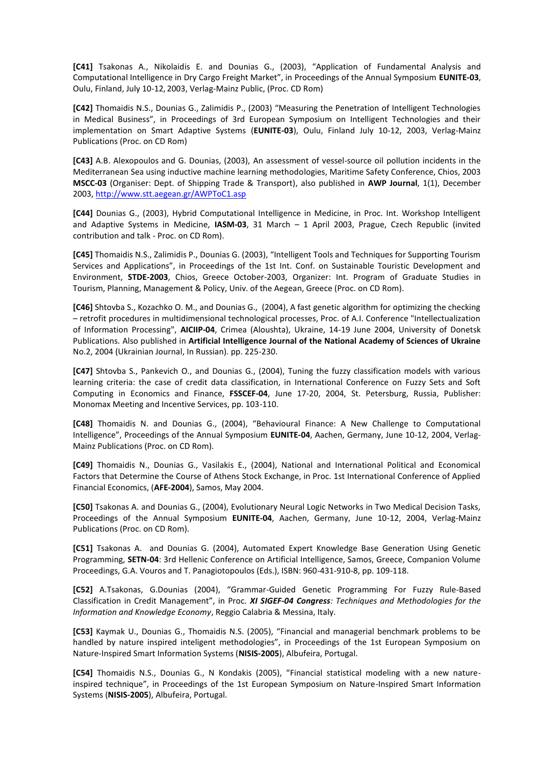**[C41]** Tsakonas A., Nikolaidis E. and Dounias G., (2003), "Application of Fundamental Analysis and Computational Intelligence in Dry Cargo Freight Market", in Proceedings of the Annual Symposium **EUNITE-03**, Oulu, Finland, July 10-12, 2003, Verlag-Mainz Public, (Proc. CD Rom)

**[C42]** Thomaidis N.S., Dounias G., Zalimidis P., (2003) "Measuring the Penetration of Intelligent Technologies in Medical Business", in Proceedings of 3rd European Symposium on Intelligent Technologies and their implementation on Smart Adaptive Systems (**EUNITE-03**), Oulu, Finland July 10-12, 2003, Verlag-Mainz Publications (Proc. on CD Rom)

**[C43]** A.B. Alexopoulos and G. Dounias, (2003), An assessment of vessel-source oil pollution incidents in the Mediterranean Sea using inductive machine learning methodologies, Maritime Safety Conference, Chios, 2003 **MSCC-03** (Organiser: Dept. of Shipping Trade & Transport), also published in **AWP Journal**, 1(1), December 2003, http://www.stt.aegean.gr/AWPToC1.asp

**[C44]** Dounias G., (2003), Hybrid Computational Intelligence in Medicine, in Proc. Int. Workshop Intelligent and Adaptive Systems in Medicine, **IASM-03**, 31 March – 1 April 2003, Prague, Czech Republic (invited contribution and talk - Proc. on CD Rom).

**[C45]** Thomaidis N.S., Zalimidis P., Dounias G. (2003), "Intelligent Tools and Techniques for Supporting Tourism Services and Applications", in Proceedings of the 1st Int. Conf. on Sustainable Touristic Development and Environment, **STDE-2003**, Chios, Greece October-2003, Organizer: Int. Program of Graduate Studies in Tourism, Planning, Management & Policy, Univ. of the Aegean, Greece (Proc. on CD Rom).

**[C46]** Shtovba S., Kozachko O. M., and Dounias G., (2004), A fast genetic algorithm for optimizing the checking – retrofit procedures in multidimensional technological processes, Proc. of A.I. Conference "Intellectualization of Information Processing", **AICIIP-04**, Crimea (Aloushta), Ukraine, 14-19 June 2004, University of Donetsk Publications. Also published in **Artificial Intelligence Journal of the National Academy of Sciences of Ukraine** Νο.2, 2004 (Ukrainian Journal, In Russian). pp. 225-230.

**[C47]** Shtovba S., Pankevich O., and Dounias G., (2004), Tuning the fuzzy classification models with various learning criteria: the case of credit data classification, in International Conference on Fuzzy Sets and Soft Computing in Economics and Finance, **FSSCEF-04**, June 17-20, 2004, St. Petersburg, Russia, Publisher: Monomax Meeting and Incentive Services, pp. 103-110.

**[C48]** Thomaidis N. and Dounias G., (2004), "Behavioural Finance: A New Challenge to Computational Intelligence", Proceedings of the Annual Symposium **EUNITE-04**, Aachen, Germany, June 10-12, 2004, Verlag-Mainz Publications (Proc. on CD Rom).

**[C49]** Thomaidis N., Dounias G., Vasilakis E., (2004), National and International Political and Economical Factors that Determine the Course of Athens Stock Exchange, in Proc. 1st International Conference of Applied Financial Economics, (**AFE-2004**), Samos, May 2004.

**[C50]** Tsakonas A. and Dounias G., (2004), Evolutionary Neural Logic Networks in Two Medical Decision Tasks, Proceedings of the Annual Symposium **EUNITE-04**, Aachen, Germany, June 10-12, 2004, Verlag-Mainz Publications (Proc. on CD Rom).

**[C51]** Tsakonas A. and Dounias G. (2004), Automated Expert Knowledge Base Generation Using Genetic Programming, **SETN-04**: 3rd Hellenic Conference on Artificial Intelligence, Samos, Greece, Companion Volume Proceedings, G.A. Vouros and T. Panagiotopoulos (Eds.), ISBN: 960-431-910-8, pp. 109-118.

**[C52]** A.Tsakonas, G.Dounias (2004), "Grammar-Guided Genetic Programming For Fuzzy Rule-Based Classification in Credit Management", in Proc. *XI SIGEF-04 Congress: Techniques and Methodologies for the Information and Knowledge Economy*, Reggio Calabria & Messina, Italy.

**[C53]** Kaymak U., Dounias G., Thomaidis N.S. (2005), "Financial and managerial benchmark problems to be handled by nature inspired inteligent methodologies", in Proceedings of the 1st European Symposium on Nature-Inspired Smart Information Systems (**NISIS-2005**), Albufeira, Portugal.

**[C54]** Thomaidis N.S., Dounias G., N Kondakis (2005), "Financial statistical modeling with a new natureinspired technique", in Proceedings of the 1st European Symposium on Nature-Inspired Smart Information Systems (**NISIS-2005**), Albufeira, Portugal.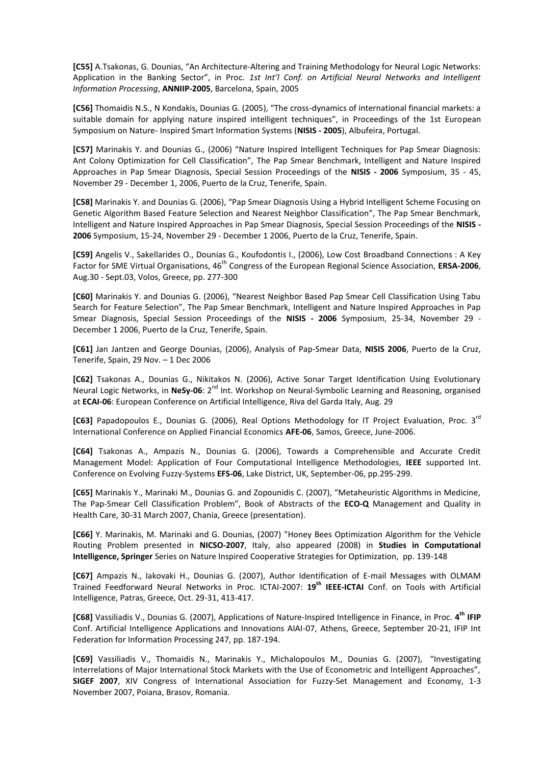**[C55]** A.Tsakonas, G. Dounias, "An Architecture-Altering and Training Methodology for Neural Logic Networks: Application in the Banking Sector", in Proc. *1st Int'l Conf. on Artificial Neural Networks and Intelligent Information Processing*, **ANNIIP-2005**, Barcelona, Spain, 2005

**[C56]** Thomaidis N.S., N Kondakis, Dounias G. (2005), "The cross-dynamics of international financial markets: a suitable domain for applying nature inspired intelligent techniques", in Proceedings of the 1st European Symposium on Nature- Inspired Smart Information Systems (**NISIS - 2005**), Albufeira, Portugal.

**[C57]** Marinakis Y. and Dounias G., (2006) "Nature Inspired Intelligent Techniques for Pap Smear Diagnosis: Ant Colony Optimization for Cell Classification", The Pap Smear Benchmark, Intelligent and Nature Inspired Approaches in Pap Smear Diagnosis, Special Session Proceedings of the **NISIS - 2006** Symposium, 35 - 45, November 29 - December 1, 2006, Puerto de la Cruz, Tenerife, Spain.

**[C58]** Marinakis Y. and Dounias G. (2006), "Pap Smear Diagnosis Using a Hybrid Intelligent Scheme Focusing on Genetic Algorithm Based Feature Selection and Nearest Neighbor Classification", The Pap Smear Benchmark, Intelligent and Nature Inspired Approaches in Pap Smear Diagnosis, Special Session Proceedings of the **NISIS - 2006** Symposium, 15-24, November 29 - December 1 2006, Puerto de la Cruz, Tenerife, Spain.

**[C59]** Angelis V., Sakellarides O., Dounias G., Koufodontis I., (2006), Low Cost Broadband Connections : A Key Factor for SME Virtual Organisations, 46<sup>th</sup> Congress of the European Regional Science Association, **ERSA-2006**, Aug.30 - Sept.03, Volos, Greece, pp. 277-300

**[C60]** Marinakis Y. and Dounias G. (2006), "Nearest Neighbor Based Pap Smear Cell Classification Using Tabu Search for Feature Selection", The Pap Smear Benchmark, Intelligent and Nature Inspired Approaches in Pap Smear Diagnosis, Special Session Proceedings of the **NISIS - 2006** Symposium, 25-34, November 29 - December 1 2006, Puerto de la Cruz, Tenerife, Spain.

**[C61]** Jan Jantzen and George Dounias, (2006), Analysis of Pap-Smear Data, **NISIS 2006**, Puerto de la Cruz, Tenerife, Spain, 29 Nov. – 1 Dec 2006

**[C62]** Tsakonas A., Dounias G., Nikitakos N. (2006), Active Sonar Target Identification Using Evolutionary Neural Logic Networks, in NeSy-06: 2<sup>nd</sup> Int. Workshop on Neural-Symbolic Learning and Reasoning, organised at **ECAI-06**: European Conference on Artificial Intelligence, Riva del Garda Italy, Aug. 29

**[C63]** Papadopoulos E., Dounias G. (2006), Real Options Methodology for IT Project Evaluation, Proc. 3rd International Conference on Applied Financial Economics **AFE-06**, Samos, Greece, June-2006.

**[C64]** Tsakonas A., Ampazis N., Dounias G. (2006), Towards a Comprehensible and Accurate Credit Management Model: Application of Four Computational Intelligence Methodologies, **IEEE** supported Int. Conference on Evolving Fuzzy-Systems **EFS-06**, Lake District, UK, September-06, pp.295-299.

**[C65]** Marinakis Y., Marinaki M., Dounias G. and Zopounidis C. (2007), "Metaheuristic Algorithms in Medicine, The Pap-Smear Cell Classification Problem", Book of Abstracts of the **ECO-Q** Management and Quality in Health Care, 30-31 March 2007, Chania, Greece (presentation).

**[C66]** Y. Marinakis, M. Marinaki and G. Dounias, (2007) "Honey Bees Optimization Algorithm for the Vehicle Routing Problem presented in **NICSO-2007**, Italy, also appeared (2008) in **Studies in Computational Intelligence, Springer** Series on Nature Inspired Cooperative Strategies for Optimization, pp. 139-148

**[C67]** Ampazis N., Iakovaki H., Dounias G. (2007), Author Identification of E-mail Messages with OLMAM Trained Feedforward Neural Networks in Proc. ICTAI-2007: **19th IEEE-ICTAI** Conf. on Tools with Artificial Intelligence, Patras, Greece, Oct. 29-31, 413-417.

**[C68]** Vassiliadis V., Dounias G. (2007), Applications of Nature-Inspired Intelligence in Finance, in Proc. **4 th IFIP** Conf. Artificial Intelligence Applications and Innovations AIAI-07, Athens, Greece, September 20-21, IFIP Int Federation for Information Processing 247, pp. 187-194.

**[C69]** Vassiliadis V., Thomaidis N., Marinakis Y., Michalopoulos M., Dounias G. (2007), "Investigating Interrelations of Major International Stock Markets with the Use of Econometric and Intelligent Approaches", **SIGEF 2007**, XIV Congress of International Association for Fuzzy-Set Management and Economy, 1-3 November 2007, Poiana, Brasov, Romania.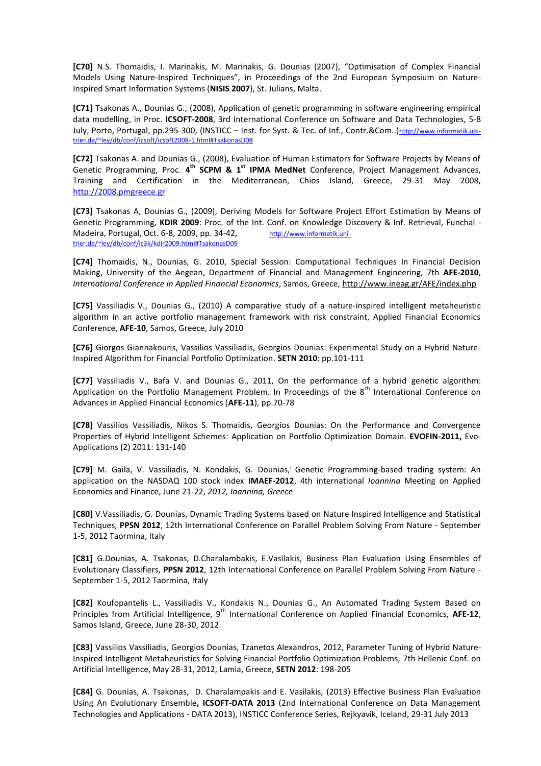**[C70]** N.S. Thomaidis, I. Marinakis, M. Marinakis, G. Dounias (2007), "Optimisation of Complex Financial Models Using Nature-Inspired Techniques", in Proceedings of the 2nd European Symposium on Nature-Inspired Smart Information Systems (**NISIS 2007**), St. Julians, Malta.

**[C71]** Tsakonas A., Dounias G., (2008), Application of genetic programming in software engineering empirical data modelling, in Proc. **ICSOFT-2008**, 3rd International Conference on Software and Data Technologies, 5-8 July, Porto, Portugal, pp.295-300, (INSTICC – Inst. for Syst. & Tec. of Inf., Contr.&Com..)http://www.informatik.unitrier.de/~ley/db/conf/icsoft/icsoft2008-1.html#TsakonasD08

**[C72]** Tsakonas A. and Dounias G., (2008), Evaluation of Human Estimators for Software Projects by Means of Genetic Programming, Proc. 4<sup>th</sup> SCPM & 1<sup>st</sup> IPMA MedNet Conference, Project Management Advances, Training and Certification in the Mediterranean, Chios Island, Greece, 29-31 May 2008, http://2008.pmgreece.gr

**[C73]** Tsakonas A, Dounias G., (2009), Deriving Models for Software Project Effort Estimation by Means of Genetic Programming, **KDIR 2009**: Proc. of the Int. Conf. on Knowledge Discovery & Inf. Retrieval, Funchal - Madeira, Portugal, Oct. 6-8, 2009, pp. 34-42, http://www.informatik.unitrier.de/~ley/db/conf/ic3k/kdir2009.html#TsakonasD09

**[C74]** Thomaidis, N., Dounias, G. 2010, Special Session: Computational Techniques In Financial Decision Making, University of the Aegean, Department of Financial and Management Engineering, 7th **AFE-2010**, *International Conference in Applied Financial Economics*, Samos, Greece, http://www.ineag.gr/AFE/index.php

**[C75]** Vassiliadis V., Dounias G., (2010) A comparative study of a nature-inspired intelligent metaheuristic algorithm in an active portfolio management framework with risk constraint, Applied Financial Economics Conference, **AFE-10**, Samos, Greece, July 2010

**[C76]** Giorgos Giannakouris, Vassilios Vassiliadis, Georgios Dounias: Experimental Study on a Hybrid Nature-Inspired Algorithm for Financial Portfolio Optimization. **SETN 2010**: pp.101-111

**[C77]** Vassiliadis V., Bafa V. and Dounias G., 2011, On the performance of a hybrid genetic algorithm: Application on the Portfolio Management Problem. In Proceedings of the  $8<sup>th</sup>$  International Conference on Advances in Applied Financial Economics (**AFE-11**), pp.70-78

**[C78]** Vassilios Vassiliadis, Nikos S. Thomaidis, Georgios Dounias: On the Performance and Convergence Properties of Hybrid Intelligent Schemes: Application on Portfolio Optimization Domain. **EVOFIN-2011,** Evo-Applications (2) 2011: 131-140

[C79] M. Gaila, V. Vassiliadis, N. Kondakis, G. Dounias,' Genetic Programming-based trading system: An application on the NASDAQ 100 stock index **IMAEF-2012**, 4th international *Ioannina* Meeting on Applied Economics and Finance, June 21-22, *2012, Ioannina, Greece*

**[C80]** V.Vassiliadis, G. Dounias, Dynamic Trading Systems based on Nature Inspired Intelligence and Statistical Techniques, **PPSN 2012**, 12th International Conference on Parallel Problem Solving From Nature - September 1-5, 2012 Taormina, Italy

**[C81]** G.Dounias, A. Tsakonas, D.Charalambakis, E.Vasilakis, Business Plan Evaluation Using Ensembles of Evolutionary Classifiers, **PPSN 2012**, 12th International Conference on Parallel Problem Solving From Nature - September 1-5, 2012 Taormina, Italy

**[C82]** Koufopantelis L., Vassiliadis V., Kondakis N., Dounias G., An Automated Trading System Based on Principles from Artificial Intelligence, 9<sup>th</sup> International Conference on Applied Financial Economics, AFE-12, Samos Island, Greece, June 28-30, 2012

**[C83]** Vassilios Vassiliadis, Georgios Dounias, Tzanetos Alexandros, 2012, Parameter Tuning of Hybrid Nature-Inspired Intelligent Metaheuristics for Solving Financial Portfolio Optimization Problems, 7th Hellenic Conf. on Artificial Intelligence, May 28-31, 2012, Lamia, Greece, **SETN 2012**: 198-205

**[C84]** G. Dounias, A. Tsakonas, D. Charalampakis and E. Vasilakis, (2013) Effective Business Plan Evaluation Using An Evolutionary Ensemble**, ICSOFT-DATA 2013** (2nd International Conference on Data Management Technologies and Applications - DATA 2013), INSTICC Conference Series, Rejkyavik, Iceland, 29-31 July 2013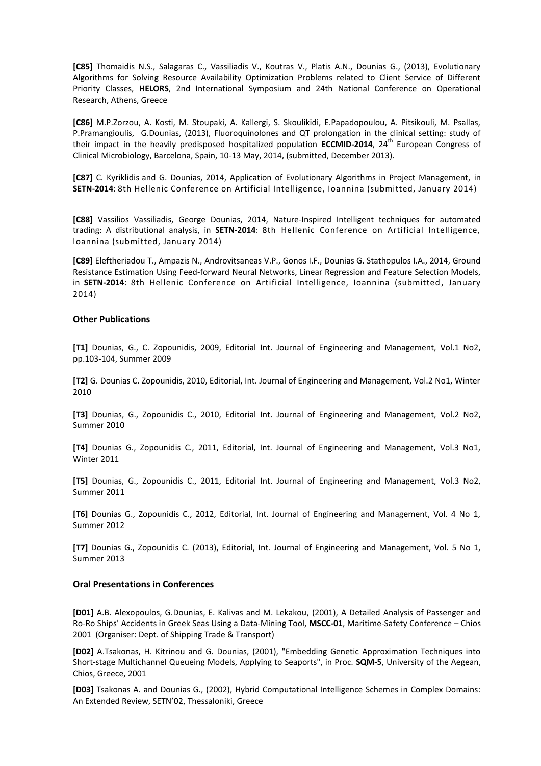**[C85]** Thomaidis N.S., Salagaras C., Vassiliadis V., Koutras V., Platis A.N., Dounias G., (2013), Evolutionary Algorithms for Solving Resource Availability Optimization Problems related to Client Service of Different Priority Classes, **HELORS**, 2nd International Symposium and 24th National Conference on Operational Research, Athens, Greece

**[C86]** M.P.Zorzou, A. Kosti, M. Stoupaki, A. Kallergi, S. Skoulikidi, E.Papadopoulou, A. Pitsikouli, M. Psallas, P.Pramangioulis, G.Dounias, (2013), Fluoroquinolones and QT prolongation in the clinical setting: study of their impact in the heavily predisposed hospitalized population **ECCMID-2014**, 24<sup>th</sup> European Congress of Clinical Microbiology, Barcelona, Spain, 10-13 May, 2014, (submitted, December 2013).

**[C87]** C. Kyriklidis and G. Dounias, 2014, Application of Evolutionary Algorithms in Project Management, in **SETN-2014**: 8th Hellenic Conference on Artificial Intelligence, Ioannina (submitted, January 2014)

**[C88]** Vassilios Vassiliadis, George Dounias, 2014, Nature-Inspired Intelligent techniques for automated trading: A distributional analysis, in **SETN-2014**: 8th Hellenic Conference on Artificial Intelligence, Ioannina (submitted, January 2014)

**[C89]** Eleftheriadou T., Ampazis N., Androvitsaneas V.P., Gonos I.F., Dounias G. Stathopulos I.A., 2014, Ground Resistance Estimation Using Feed-forward Neural Networks, Linear Regression and Feature Selection Models, in SETN-2014: 8th Hellenic Conference on Artificial Intelligence, Ioannina (submitted, January 2014)

#### **Other Publications**

**[Τ1]** Dounias, G., C. Zopounidis, 2009, Editorial Int. Journal of Engineering and Management, Vol.1 No2, pp.103-104, Summer 2009

**[Τ2]** G. Dounias C. Zopounidis, 2010, Editorial, Int. Journal of Engineering and Management, Vol.2 No1, Winter 2010

**[Τ3]** Dounias, G., Zopounidis C., 2010, Editorial Int. Journal of Engineering and Management, Vol.2 No2, Summer 2010

**[Τ4]** Dounias G., Zopounidis C., 2011, Editorial, Int. Journal of Engineering and Management, Vol.3 No1, Winter 2011

**[Τ5]** Dounias, G., Zopounidis C., 2011, Editorial Int. Journal of Engineering and Management, Vol.3 No2, Summer 2011

**[Τ6]** Dounias G., Zopounidis C., 2012, Editorial, Int. Journal of Engineering and Management, Vol. 4 No 1, Summer 2012

**[Τ7]** Dounias G., Zopounidis C. (2013), Editorial, Int. Journal of Engineering and Management, Vol. 5 No 1, Summer 2013

#### **Oral Presentations in Conferences**

**[D01]** A.B. Alexopoulos, G.Dounias, E. Kalivas and M. Lekakou, (2001), A Detailed Analysis of Passenger and Ro-Ro Ships' Accidents in Greek Seas Using a Data-Mining Tool, **MSCC-01**, Maritime-Safety Conference – Chios 2001 (Organiser: Dept. of Shipping Trade & Transport)

**[D02]** A.Tsakonas, H. Kitrinou and G. Dounias, (2001), "Embedding Genetic Approximation Techniques into Short-stage Multichannel Queueing Models, Applying to Seaports", in Proc. **SQM-5**, University of the Aegean, Chios, Greece, 2001

**[D03]** Tsakonas Α. and Dounias G., (2002), Hybrid Computational Intelligence Schemes in Complex Domains: An Extended Review, SETN'02, Thessaloniki, Greece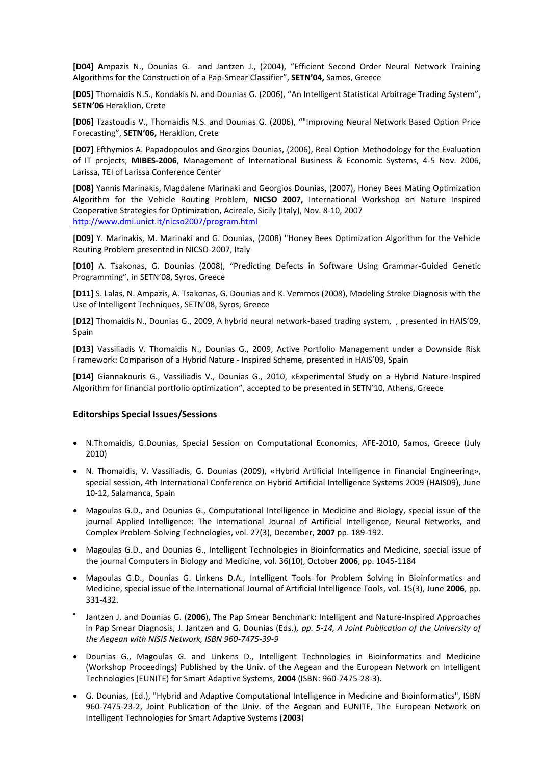**[D04] A**mpazis N., Dounias G. and Jantzen J., (2004), "Efficient Second Order Neural Network Training Algorithms for the Construction of a Pap-Smear Classifier", **SETN'04,** Samos, Greece

**[D05]** Thomaidis N.S., Kondakis N. and Dounias G. (2006), "An Ιntelligent Statistical Arbitrage Trading System", **SETN'06** Heraklion, Crete

**[D06]** Tzastoudis V., Thomaidis N.S. and Dounias G. (2006), ""Improving Neural Network Based Option Price Forecasting", **SETN'06,** Heraklion, Crete

**[D07]** Efthymios A. Papadopoulos and Georgios Dounias, (2006), Real Option Methodology for the Evaluation of IT projects, **MIBES-2006**, Management of International Business & Economic Systems, 4-5 Nov. 2006, Larissa, TEI of Larissa Conference Center

**[D08]** Yannis Marinakis, Magdalene Marinaki and Georgios Dounias, (2007), Honey Bees Mating Optimization Algorithm for the Vehicle Routing Problem, **NICSO 2007,** International Workshop on Nature Inspired Cooperative Strategies for Optimization, Acireale, Sicily (Italy), Nov. 8-10, 2007 http://www.dmi.unict.it/nicso2007/program.html

**[D09]** Y. Marinakis, M. Marinaki and G. Dounias, (2008) "Honey Bees Optimization Algorithm for the Vehicle Routing Problem presented in NICSO-2007, Italy

**[D10]** A. Tsakonas, G. Dounias (2008), "Predicting Defects in Software Using Grammar-Guided Genetic Programming", in SETN'08, Syros, Greece

**[D11]** S. Lalas, N. Ampazis, A. Tsakonas, G. Dounias and K. Vemmos (2008), Modeling Stroke Diagnosis with the Use of Intelligent Techniques, SETN'08, Syros, Greece

**[D12]** Thomaidis N., Dounias G., 2009, A hybrid neural network-based trading system, , presented in HAIS'09, Spain

**[D13]** Vassiliadis V. Thomaidis N., Dounias G., 2009, Active Portfolio Management under a Downside Risk Framework: Comparison of a Hybrid Nature - Inspired Scheme, presented in HAIS'09, Spain

**[D14]** Giannakouris G., Vassiliadis V., Dounias G., 2010, «Experimental Study on a Hybrid Nature-Inspired Algorithm for financial portfolio optimization", accepted to be presented in SETN'10, Athens, Greece

### **Editorships Special Issues/Sessions**

- N.Thomaidis, G.Dounias, Special Session on Computational Economics, AFE-2010, Samos, Greece (July 2010)
- N. Thomaidis, V. Vassiliadis, G. Dounias (2009), «Hybrid Artificial Intelligence in Financial Engineering», special session, 4th International Conference on Hybrid Artificial Intelligence Systems 2009 (HAIS09), June 10-12, Salamanca, Spain
- Magoulas G.D., and Dounias G., Computational Intelligence in Medicine and Biology, special issue of the journal Applied Intelligence: The International Journal of Artificial Intelligence, Neural Networks, and Complex Problem-Solving Technologies, vol. 27(3), December, **2007** pp. 189-192.
- Magoulas G.D., and Dounias G., Intelligent Technologies in Bioinformatics and Medicine, special issue of the journal Computers in Biology and Medicine, vol. 36(10), October **2006**, pp. 1045-1184
- Magoulas G.D., Dounias G. Linkens D.A., Intelligent Tools for Problem Solving in Bioinformatics and Medicine, special issue of the International Journal of Artificial Intelligence Tools, vol. 15(3), June **2006**, pp. 331-432.
- $\bullet$ Jantzen J. and Dounias G. (**2006**), The Pap Smear Benchmark: Intelligent and Nature-Inspired Approaches in Pap Smear Diagnosis, J. Jantzen and G. Dounias (Eds.)*, pp. 5-14, A Joint Publication of the University of the Aegean with NISIS Network, ISBN 960-7475-39-9*
- Dounias G., Magoulas G. and Linkens D., Intelligent Technologies in Bioinformatics and Medicine (Workshop Proceedings) Published by the Univ. of the Aegean and the European Network on Intelligent Technologies (EUNITE) for Smart Adaptive Systems, **2004** (ISBN: 960-7475-28-3).
- G. Dounias, (Ed.), "Hybrid and Adaptive Computational Intelligence in Medicine and Bioinformatics", ISBN 960-7475-23-2, Joint Publication of the Univ. of the Aegean and EUNITE, The European Network on Intelligent Technologies for Smart Adaptive Systems (**2003**)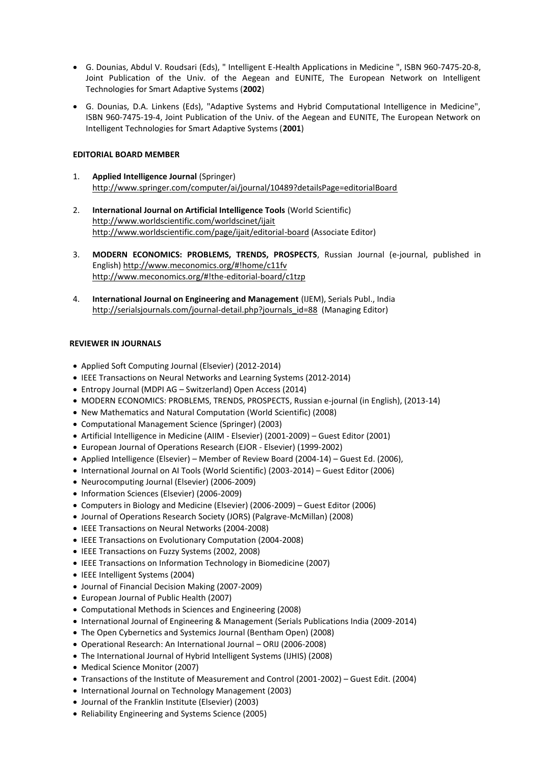- G. Dounias, Abdul V. Roudsari (Eds), " Intelligent E-Health Applications in Medicine ", ISBN 960-7475-20-8, Joint Publication of the Univ. of the Aegean and EUNITE, The European Network on Intelligent Technologies for Smart Adaptive Systems (**2002**)
- G. Dounias, D.A. Linkens (Eds), "Adaptive Systems and Hybrid Computational Intelligence in Medicine", ISBN 960-7475-19-4, Joint Publication of the Univ. of the Aegean and EUNITE, The European Network on Intelligent Technologies for Smart Adaptive Systems (**2001**)

## **EDITORIAL BOARD MEMBER**

- 1. **Applied Intelligence Journal** (Springer) http://www.springer.com/computer/ai/journal/10489?detailsPage=editorialBoard
- 2. **International Journal on Artificial Intelligence Tools** (World Scientific) http://www.worldscientific.com/worldscinet/ijait http://www.worldscientific.com/page/ijait/editorial-board (Associate Editor)
- 3. **MODERN ECONOMICS: PROBLEMS, TRENDS, PROSPECTS**, Russian Journal (e-journal, published in English) http://www.meconomics.org/#!home/c11fv http://www.meconomics.org/#!the-editorial-board/c1tzp
- 4. **International Journal on Engineering and Management** (IJEM), Serials Publ., India http://serialsjournals.com/journal-detail.php?journals\_id=88 (Managing Editor)

### **REVIEWER IN JOURNALS**

- Applied Soft Computing Journal (Elsevier) (2012-2014)
- IEEE Transactions on Neural Networks and Learning Systems (2012-2014)
- Entropy Journal (MDPI AG Switzerland) Open Access (2014)
- MODERN ECONOMICS: PROBLEMS, TRENDS, PROSPECTS, Russian e-journal (in English), (2013-14)
- New Mathematics and Natural Computation (World Scientific) (2008)
- Computational Management Science (Springer) (2003)
- Artificial Intelligence in Medicine (AIIM Elsevier) (2001-2009) Guest Editor (2001)
- European Journal of Operations Research (EJOR Elsevier) (1999-2002)
- Applied Intelligence (Elsevier) Member of Review Board (2004-14) Guest Ed. (2006),
- International Journal on AI Tools (World Scientific) (2003-2014) Guest Editor (2006)
- Neurocomputing Journal (Elsevier) (2006-2009)
- Information Sciences (Elsevier) (2006-2009)
- Computers in Biology and Medicine (Elsevier) (2006-2009) Guest Editor (2006)
- Journal of Operations Research Society (JORS) (Palgrave-McMillan) (2008)
- IEEE Transactions on Neural Networks (2004-2008)
- IEEE Transactions on Evolutionary Computation (2004-2008)
- IEEE Transactions on Fuzzy Systems (2002, 2008)
- IEEE Transactions on Information Technology in Biomedicine (2007)
- IEEE Intelligent Systems (2004)
- Journal of Financial Decision Making (2007-2009)
- European Journal of Public Health (2007)
- Computational Methods in Sciences and Engineering (2008)
- International Journal of Engineering & Management (Serials Publications India (2009-2014)
- The Open Cybernetics and Systemics Journal (Bentham Open) (2008)
- Operational Research: An International Journal ORIJ (2006-2008)
- The International Journal of Hybrid Intelligent Systems (IJHIS) (2008)
- Medical Science Monitor (2007)
- Transactions of the Institute of Measurement and Control (2001-2002) Guest Edit. (2004)
- International Journal on Technology Management (2003)
- Journal of the Franklin Institute (Elsevier) (2003)
- Reliability Engineering and Systems Science (2005)